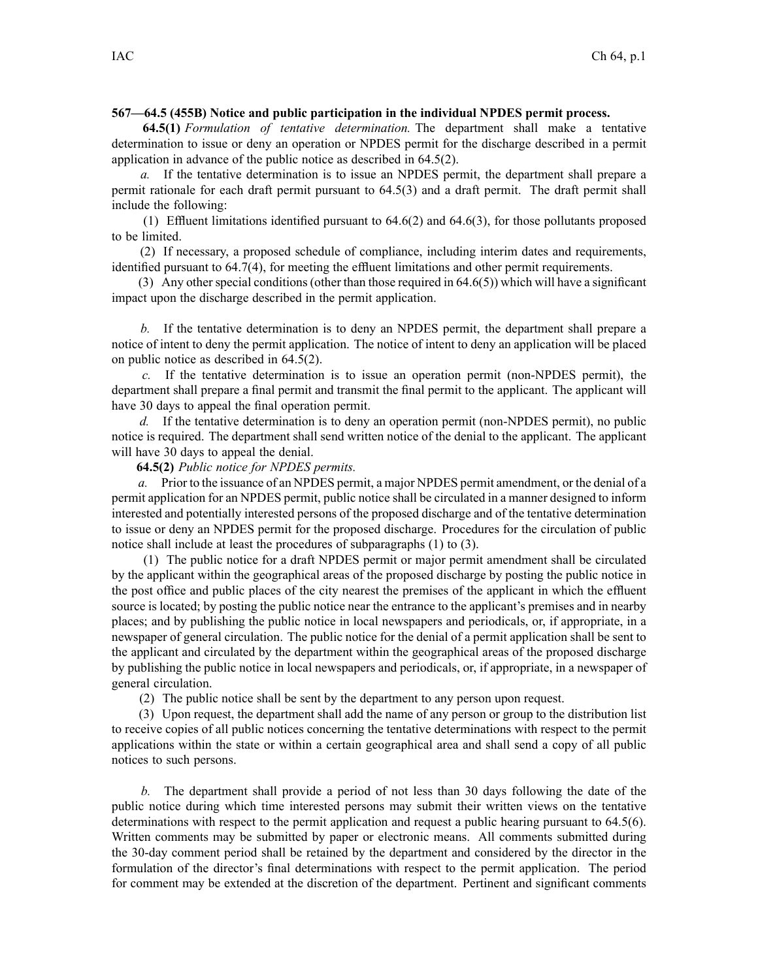## **567—64.5 (455B) Notice and public participation in the individual NPDES permit process.**

**64.5(1)** *Formulation of tentative determination.* The department shall make <sup>a</sup> tentative determination to issue or deny an operation or NPDES permit for the discharge described in <sup>a</sup> permit application in advance of the public notice as described in 64.5(2).

*a.* If the tentative determination is to issue an NPDES permit, the department shall prepare <sup>a</sup> permit rationale for each draft permit pursuan<sup>t</sup> to 64.5(3) and <sup>a</sup> draft permit. The draft permit shall include the following:

(1) Effluent limitations identified pursuant to  $64.6(2)$  and  $64.6(3)$ , for those pollutants proposed to be limited.

(2) If necessary, <sup>a</sup> proposed schedule of compliance, including interim dates and requirements, identified pursuan<sup>t</sup> to 64.7(4), for meeting the effluent limitations and other permit requirements.

(3) Any other special conditions (other than those required in  $64.6(5)$ ) which will have a significant impact upon the discharge described in the permit application.

*b.* If the tentative determination is to deny an NPDES permit, the department shall prepare <sup>a</sup> notice of intent to deny the permit application. The notice of intent to deny an application will be placed on public notice as described in 64.5(2).

*c.* If the tentative determination is to issue an operation permit (non-NPDES permit), the department shall prepare <sup>a</sup> final permit and transmit the final permit to the applicant. The applicant will have 30 days to appeal the final operation permit.

*d.* If the tentative determination is to deny an operation permit (non-NPDES permit), no public notice is required. The department shall send written notice of the denial to the applicant. The applicant will have 30 days to appeal the denial.

**64.5(2)** *Public notice for NPDES permits.*

*a.* Prior to the issuance of an NPDES permit, <sup>a</sup> major NPDES permit amendment, or the denial of <sup>a</sup> permit application for an NPDES permit, public notice shall be circulated in <sup>a</sup> manner designed to inform interested and potentially interested persons of the proposed discharge and of the tentative determination to issue or deny an NPDES permit for the proposed discharge. Procedures for the circulation of public notice shall include at least the procedures of subparagraphs (1) to (3).

(1) The public notice for <sup>a</sup> draft NPDES permit or major permit amendment shall be circulated by the applicant within the geographical areas of the proposed discharge by posting the public notice in the pos<sup>t</sup> office and public places of the city nearest the premises of the applicant in which the effluent source is located; by posting the public notice near the entrance to the applicant's premises and in nearby places; and by publishing the public notice in local newspapers and periodicals, or, if appropriate, in <sup>a</sup> newspaper of general circulation. The public notice for the denial of <sup>a</sup> permit application shall be sent to the applicant and circulated by the department within the geographical areas of the proposed discharge by publishing the public notice in local newspapers and periodicals, or, if appropriate, in <sup>a</sup> newspaper of general circulation.

(2) The public notice shall be sent by the department to any person upon request.

(3) Upon request, the department shall add the name of any person or group to the distribution list to receive copies of all public notices concerning the tentative determinations with respec<sup>t</sup> to the permit applications within the state or within <sup>a</sup> certain geographical area and shall send <sup>a</sup> copy of all public notices to such persons.

*b.* The department shall provide <sup>a</sup> period of not less than 30 days following the date of the public notice during which time interested persons may submit their written views on the tentative determinations with respec<sup>t</sup> to the permit application and reques<sup>t</sup> <sup>a</sup> public hearing pursuan<sup>t</sup> to 64.5(6). Written comments may be submitted by paper or electronic means. All comments submitted during the 30-day comment period shall be retained by the department and considered by the director in the formulation of the director's final determinations with respec<sup>t</sup> to the permit application. The period for comment may be extended at the discretion of the department. Pertinent and significant comments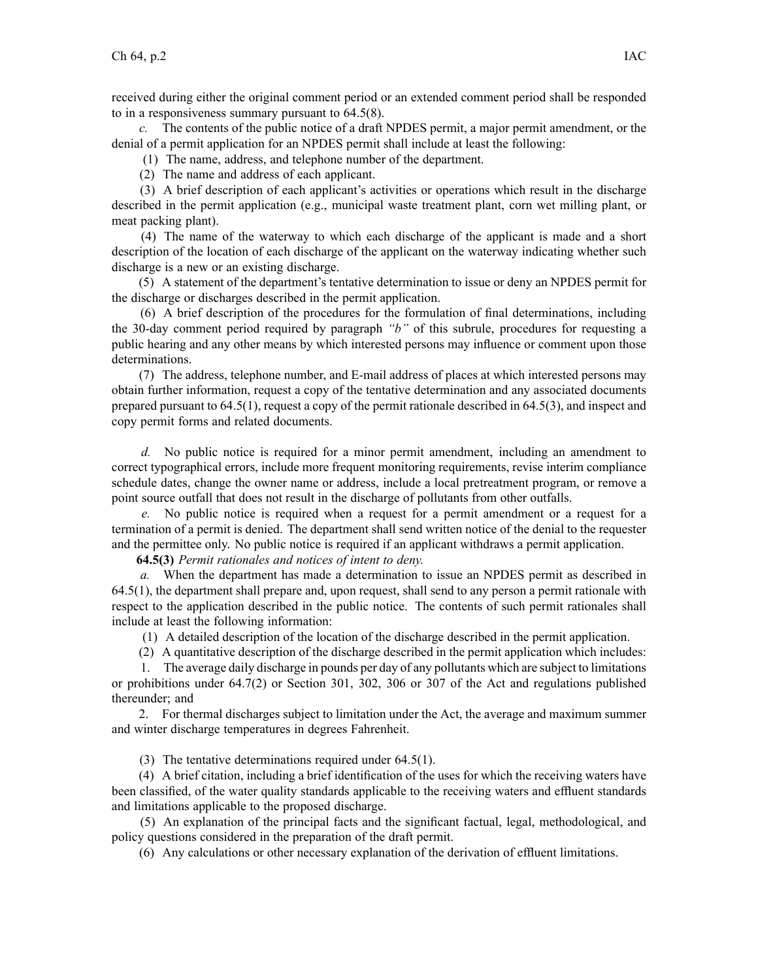received during either the original comment period or an extended comment period shall be responded to in <sup>a</sup> responsiveness summary pursuan<sup>t</sup> to 64.5(8).

*c.* The contents of the public notice of <sup>a</sup> draft NPDES permit, <sup>a</sup> major permit amendment, or the denial of <sup>a</sup> permit application for an NPDES permit shall include at least the following:

(1) The name, address, and telephone number of the department.

(2) The name and address of each applicant.

(3) A brief description of each applicant's activities or operations which result in the discharge described in the permit application (e.g., municipal waste treatment plant, corn wet milling plant, or meat packing plant).

(4) The name of the waterway to which each discharge of the applicant is made and <sup>a</sup> short description of the location of each discharge of the applicant on the waterway indicating whether such discharge is <sup>a</sup> new or an existing discharge.

(5) A statement of the department's tentative determination to issue or deny an NPDES permit for the discharge or discharges described in the permit application.

(6) A brief description of the procedures for the formulation of final determinations, including the 30-day comment period required by paragraph *"b"* of this subrule, procedures for requesting <sup>a</sup> public hearing and any other means by which interested persons may influence or comment upon those determinations.

(7) The address, telephone number, and E-mail address of places at which interested persons may obtain further information, reques<sup>t</sup> <sup>a</sup> copy of the tentative determination and any associated documents prepared pursuan<sup>t</sup> to 64.5(1), reques<sup>t</sup> <sup>a</sup> copy of the permit rationale described in 64.5(3), and inspect and copy permit forms and related documents.

*d.* No public notice is required for <sup>a</sup> minor permit amendment, including an amendment to correct typographical errors, include more frequent monitoring requirements, revise interim compliance schedule dates, change the owner name or address, include <sup>a</sup> local pretreatment program, or remove <sup>a</sup> point source outfall that does not result in the discharge of pollutants from other outfalls.

*e.* No public notice is required when <sup>a</sup> reques<sup>t</sup> for <sup>a</sup> permit amendment or <sup>a</sup> reques<sup>t</sup> for <sup>a</sup> termination of <sup>a</sup> permit is denied. The department shall send written notice of the denial to the requester and the permittee only. No public notice is required if an applicant withdraws <sup>a</sup> permit application.

**64.5(3)** *Permit rationales and notices of intent to deny.*

*a.* When the department has made <sup>a</sup> determination to issue an NPDES permit as described in 64.5(1), the department shall prepare and, upon request, shall send to any person <sup>a</sup> permit rationale with respec<sup>t</sup> to the application described in the public notice. The contents of such permit rationales shall include at least the following information:

(1) A detailed description of the location of the discharge described in the permit application.

(2) A quantitative description of the discharge described in the permit application which includes:

1. The average daily discharge in pounds per day of any pollutants which are subject to limitations or prohibitions under 64.7(2) or Section 301, 302, 306 or 307 of the Act and regulations published thereunder; and

2. For thermal discharges subject to limitation under the Act, the average and maximum summer and winter discharge temperatures in degrees Fahrenheit.

(3) The tentative determinations required under 64.5(1).

(4) A brief citation, including <sup>a</sup> brief identification of the uses for which the receiving waters have been classified, of the water quality standards applicable to the receiving waters and effluent standards and limitations applicable to the proposed discharge.

(5) An explanation of the principal facts and the significant factual, legal, methodological, and policy questions considered in the preparation of the draft permit.

(6) Any calculations or other necessary explanation of the derivation of effluent limitations.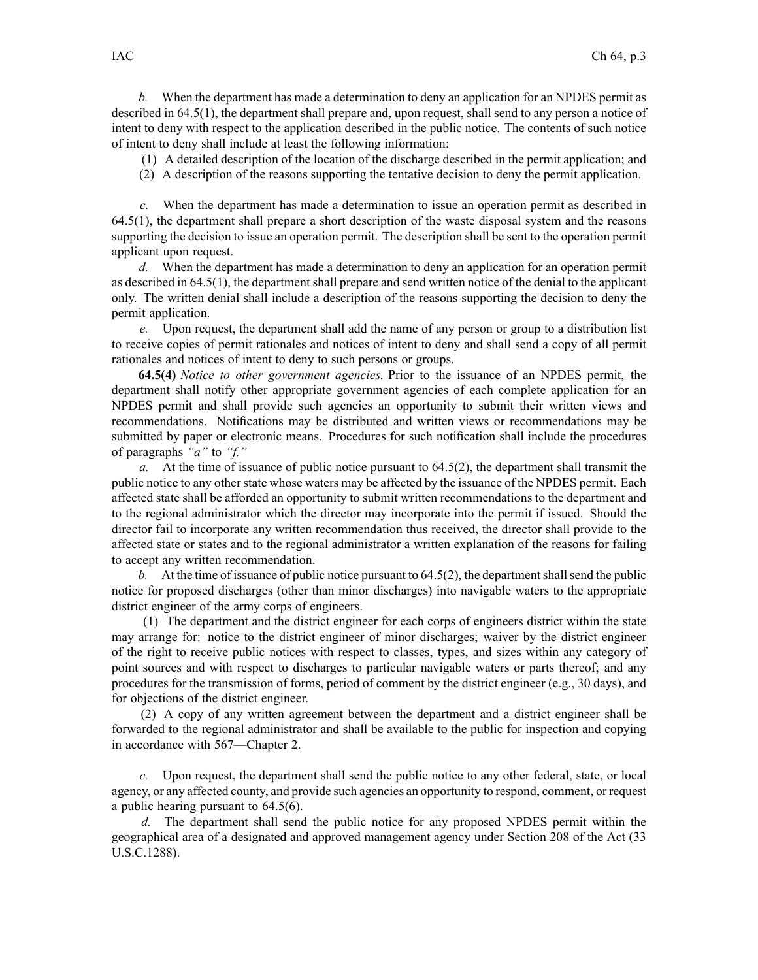*b.* When the department has made <sup>a</sup> determination to deny an application for an NPDES permit as described in 64.5(1), the department shall prepare and, upon request, shall send to any person <sup>a</sup> notice of intent to deny with respec<sup>t</sup> to the application described in the public notice. The contents of such notice of intent to deny shall include at least the following information:

- (1) A detailed description of the location of the discharge described in the permit application; and
- (2) A description of the reasons supporting the tentative decision to deny the permit application.

*c.* When the department has made <sup>a</sup> determination to issue an operation permit as described in 64.5(1), the department shall prepare <sup>a</sup> short description of the waste disposal system and the reasons supporting the decision to issue an operation permit. The description shall be sent to the operation permit applicant upon request.

*d.* When the department has made <sup>a</sup> determination to deny an application for an operation permit as described in 64.5(1), the department shall prepare and send written notice of the denial to the applicant only. The written denial shall include <sup>a</sup> description of the reasons supporting the decision to deny the permit application.

*e.* Upon request, the department shall add the name of any person or group to <sup>a</sup> distribution list to receive copies of permit rationales and notices of intent to deny and shall send <sup>a</sup> copy of all permit rationales and notices of intent to deny to such persons or groups.

**64.5(4)** *Notice to other governmen<sup>t</sup> agencies.* Prior to the issuance of an NPDES permit, the department shall notify other appropriate governmen<sup>t</sup> agencies of each complete application for an NPDES permit and shall provide such agencies an opportunity to submit their written views and recommendations. Notifications may be distributed and written views or recommendations may be submitted by paper or electronic means. Procedures for such notification shall include the procedures of paragraphs *"a"* to *"f."*

*a.* At the time of issuance of public notice pursuan<sup>t</sup> to 64.5(2), the department shall transmit the public notice to any other state whose waters may be affected by the issuance of the NPDES permit. Each affected state shall be afforded an opportunity to submit written recommendations to the department and to the regional administrator which the director may incorporate into the permit if issued. Should the director fail to incorporate any written recommendation thus received, the director shall provide to the affected state or states and to the regional administrator <sup>a</sup> written explanation of the reasons for failing to accep<sup>t</sup> any written recommendation.

*b.* At the time of issuance of public notice pursuant to  $64.5(2)$ , the department shall send the public notice for proposed discharges (other than minor discharges) into navigable waters to the appropriate district engineer of the army corps of engineers.

(1) The department and the district engineer for each corps of engineers district within the state may arrange for: notice to the district engineer of minor discharges; waiver by the district engineer of the right to receive public notices with respec<sup>t</sup> to classes, types, and sizes within any category of point sources and with respec<sup>t</sup> to discharges to particular navigable waters or parts thereof; and any procedures for the transmission of forms, period of comment by the district engineer (e.g., 30 days), and for objections of the district engineer.

(2) A copy of any written agreemen<sup>t</sup> between the department and <sup>a</sup> district engineer shall be forwarded to the regional administrator and shall be available to the public for inspection and copying in accordance with 567—Chapter 2.

*c.* Upon request, the department shall send the public notice to any other federal, state, or local agency, or any affected county, and provide such agencies an opportunity to respond, comment, or reques<sup>t</sup> <sup>a</sup> public hearing pursuan<sup>t</sup> to 64.5(6).

*d.* The department shall send the public notice for any proposed NPDES permit within the geographical area of <sup>a</sup> designated and approved managemen<sup>t</sup> agency under Section 208 of the Act (33 U.S.C.1288).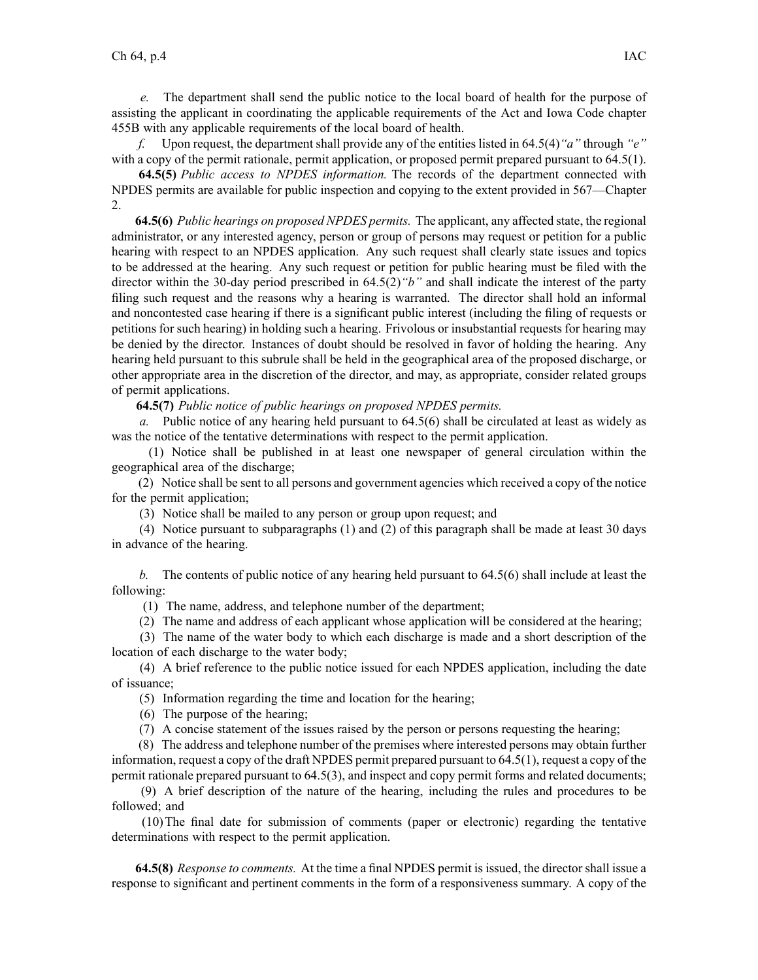*e.* The department shall send the public notice to the local board of health for the purpose of assisting the applicant in coordinating the applicable requirements of the Act and Iowa Code chapter 455B with any applicable requirements of the local board of health.

*f.* Upon request, the department shall provide any of the entities listed in 64.5(4)*"a"* through *"e"* with a copy of the permit rationale, permit application, or proposed permit prepared pursuant to 64.5(1).

**64.5(5)** *Public access to NPDES information.* The records of the department connected with NPDES permits are available for public inspection and copying to the extent provided in 567—Chapter 2.

**64.5(6)** *Public hearings on proposed NPDES permits.* The applicant, any affected state, the regional administrator, or any interested agency, person or group of persons may reques<sup>t</sup> or petition for <sup>a</sup> public hearing with respec<sup>t</sup> to an NPDES application. Any such reques<sup>t</sup> shall clearly state issues and topics to be addressed at the hearing. Any such reques<sup>t</sup> or petition for public hearing must be filed with the director within the 30-day period prescribed in 64.5(2)*"b"* and shall indicate the interest of the party filing such reques<sup>t</sup> and the reasons why <sup>a</sup> hearing is warranted. The director shall hold an informal and noncontested case hearing if there is <sup>a</sup> significant public interest (including the filing of requests or petitions for such hearing) in holding such <sup>a</sup> hearing. Frivolous or insubstantial requests for hearing may be denied by the director. Instances of doubt should be resolved in favor of holding the hearing. Any hearing held pursuan<sup>t</sup> to this subrule shall be held in the geographical area of the proposed discharge, or other appropriate area in the discretion of the director, and may, as appropriate, consider related groups of permit applications.

**64.5(7)** *Public notice of public hearings on proposed NPDES permits.*

*a.* Public notice of any hearing held pursuan<sup>t</sup> to 64.5(6) shall be circulated at least as widely as was the notice of the tentative determinations with respec<sup>t</sup> to the permit application.

(1) Notice shall be published in at least one newspaper of general circulation within the geographical area of the discharge;

(2) Notice shall be sent to all persons and governmen<sup>t</sup> agencies which received <sup>a</sup> copy of the notice for the permit application;

(3) Notice shall be mailed to any person or group upon request; and

(4) Notice pursuan<sup>t</sup> to subparagraphs (1) and (2) of this paragraph shall be made at least 30 days in advance of the hearing.

*b.* The contents of public notice of any hearing held pursuan<sup>t</sup> to 64.5(6) shall include at least the following:

(1) The name, address, and telephone number of the department;

(2) The name and address of each applicant whose application will be considered at the hearing;

(3) The name of the water body to which each discharge is made and <sup>a</sup> short description of the location of each discharge to the water body;

(4) A brief reference to the public notice issued for each NPDES application, including the date of issuance;

(5) Information regarding the time and location for the hearing;

(6) The purpose of the hearing;

(7) A concise statement of the issues raised by the person or persons requesting the hearing;

(8) The address and telephone number of the premises where interested persons may obtain further information, reques<sup>t</sup> <sup>a</sup> copy of the draft NPDES permit prepared pursuan<sup>t</sup> to 64.5(1), reques<sup>t</sup> <sup>a</sup> copy of the permit rationale prepared pursuan<sup>t</sup> to 64.5(3), and inspect and copy permit forms and related documents;

(9) A brief description of the nature of the hearing, including the rules and procedures to be followed; and

(10)The final date for submission of comments (paper or electronic) regarding the tentative determinations with respec<sup>t</sup> to the permit application.

**64.5(8)** *Response to comments.* At the time <sup>a</sup> final NPDES permit is issued, the director shall issue <sup>a</sup> response to significant and pertinent comments in the form of <sup>a</sup> responsiveness summary. A copy of the